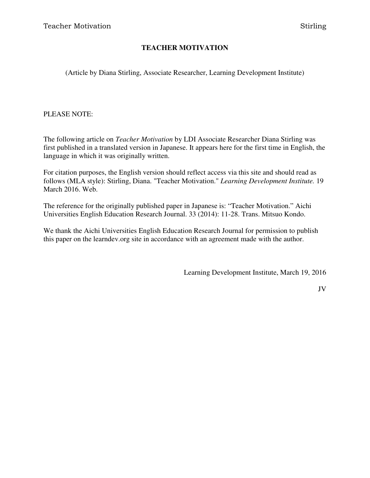#### **TEACHER MOTIVATION**

(Article by Diana Stirling, Associate Researcher, Learning Development Institute)

#### PLEASE NOTE:

The following article on *Teacher Motivation* by LDI Associate Researcher Diana Stirling was first published in a translated version in Japanese. It appears here for the first time in English, the language in which it was originally written.

For citation purposes, the English version should reflect access via this site and should read as follows (MLA style): Stirling, Diana. "Teacher Motivation." *Learning Development Institute.* 19 March 2016. Web.

The reference for the originally published paper in Japanese is: "Teacher Motivation." Aichi Universities English Education Research Journal. 33 (2014): 11-28. Trans. Mitsuo Kondo.

We thank the Aichi Universities English Education Research Journal for permission to publish this paper on the learndev.org site in accordance with an agreement made with the author.

Learning Development Institute, March 19, 2016

JV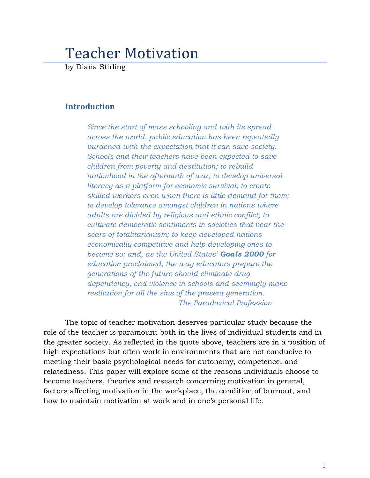# Teacher Motivation

by Diana Stirling

# Introduction

Since the start of mass schooling and with its spread across the world, public education has been repeatedly burdened with the expectation that it can save society. Schools and their teachers have been expected to save children from poverty and destitution; to rebuild nationhood in the aftermath of war; to develop universal literacy as a platform for economic survival; to create skilled workers even when there is little demand for them; to develop tolerance amongst children in nations where adults are divided by religious and ethnic conflict; to cultivate democratic sentiments in societies that bear the scars of totalitarianism; to keep developed nations economically competitive and help developing ones to become so; and, as the United States' Goals 2000 for education proclaimed, the way educators prepare the generations of the future should eliminate drug dependency, end violence in schools and seemingly make restitution for all the sins of the present generation. The Paradoxical Profession

The topic of teacher motivation deserves particular study because the role of the teacher is paramount both in the lives of individual students and in the greater society. As reflected in the quote above, teachers are in a position of high expectations but often work in environments that are not conducive to meeting their basic psychological needs for autonomy, competence, and relatedness. This paper will explore some of the reasons individuals choose to become teachers, theories and research concerning motivation in general, factors affecting motivation in the workplace, the condition of burnout, and how to maintain motivation at work and in one's personal life.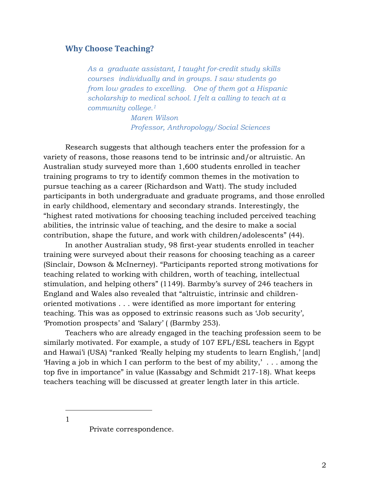# Why Choose Teaching?

As a graduate assistant, I taught for-credit study skills courses individually and in groups. I saw students go from low grades to excelling. One of them got a Hispanic scholarship to medical school. I felt a calling to teach at a community college.<sup>1</sup>

> Maren Wilson Professor, Anthropology/Social Sciences

Research suggests that although teachers enter the profession for a variety of reasons, those reasons tend to be intrinsic and/or altruistic. An Australian study surveyed more than 1,600 students enrolled in teacher training programs to try to identify common themes in the motivation to pursue teaching as a career (Richardson and Watt). The study included participants in both undergraduate and graduate programs, and those enrolled in early childhood, elementary and secondary strands. Interestingly, the "highest rated motivations for choosing teaching included perceived teaching abilities, the intrinsic value of teaching, and the desire to make a social contribution, shape the future, and work with children/adolescents" (44).

In another Australian study, 98 first-year students enrolled in teacher training were surveyed about their reasons for choosing teaching as a career (Sinclair, Dowson & McInerney). "Participants reported strong motivations for teaching related to working with children, worth of teaching, intellectual stimulation, and helping others" (1149). Barmby's survey of 246 teachers in England and Wales also revealed that "altruistic, intrinsic and childrenoriented motivations . . . were identified as more important for entering teaching. This was as opposed to extrinsic reasons such as 'Job security', 'Promotion prospects' and 'Salary' ( (Barmby 253).

Teachers who are already engaged in the teaching profession seem to be similarly motivated. For example, a study of 107 EFL/ESL teachers in Egypt and Hawai'i (USA) "ranked 'Really helping my students to learn English,' [and] 'Having a job in which I can perform to the best of my ability,' . . . among the top five in importance" in value (Kassabgy and Schmidt 217-18). What keeps teachers teaching will be discussed at greater length later in this article.

 $\overline{a}$ 1

Private correspondence.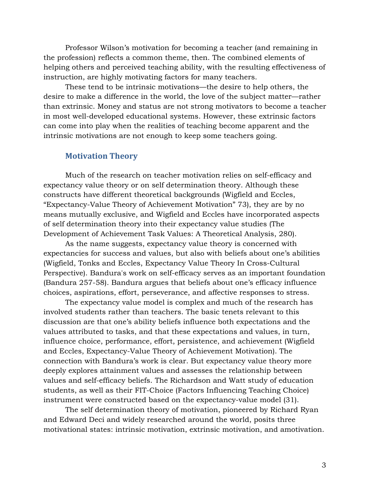Professor Wilson's motivation for becoming a teacher (and remaining in the profession) reflects a common theme, then. The combined elements of helping others and perceived teaching ability, with the resulting effectiveness of instruction, are highly motivating factors for many teachers.

These tend to be intrinsic motivations—the desire to help others, the desire to make a difference in the world, the love of the subject matter—rather than extrinsic. Money and status are not strong motivators to become a teacher in most well-developed educational systems. However, these extrinsic factors can come into play when the realities of teaching become apparent and the intrinsic motivations are not enough to keep some teachers going.

#### Motivation Theory

Much of the research on teacher motivation relies on self-efficacy and expectancy value theory or on self determination theory. Although these constructs have different theoretical backgrounds (Wigfield and Eccles, "Expectancy-Value Theory of Achievement Motivation" 73), they are by no means mutually exclusive, and Wigfield and Eccles have incorporated aspects of self determination theory into their expectancy value studies (The Development of Achievement Task Values: A Theoretical Analysis, 280).

As the name suggests, expectancy value theory is concerned with expectancies for success and values, but also with beliefs about one's abilities (Wigfield, Tonks and Eccles, Expectancy Value Theory In Cross-Cultural Perspective). Bandura's work on self-efficacy serves as an important foundation (Bandura 257-58). Bandura argues that beliefs about one's efficacy influence choices, aspirations, effort, perseverance, and affective responses to stress.

The expectancy value model is complex and much of the research has involved students rather than teachers. The basic tenets relevant to this discussion are that one's ability beliefs influence both expectations and the values attributed to tasks, and that these expectations and values, in turn, influence choice, performance, effort, persistence, and achievement (Wigfield and Eccles, Expectancy-Value Theory of Achievement Motivation). The connection with Bandura's work is clear. But expectancy value theory more deeply explores attainment values and assesses the relationship between values and self-efficacy beliefs. The Richardson and Watt study of education students, as well as their FIT-Choice (Factors Influencing Teaching Choice) instrument were constructed based on the expectancy-value model (31).

The self determination theory of motivation, pioneered by Richard Ryan and Edward Deci and widely researched around the world, posits three motivational states: intrinsic motivation, extrinsic motivation, and amotivation.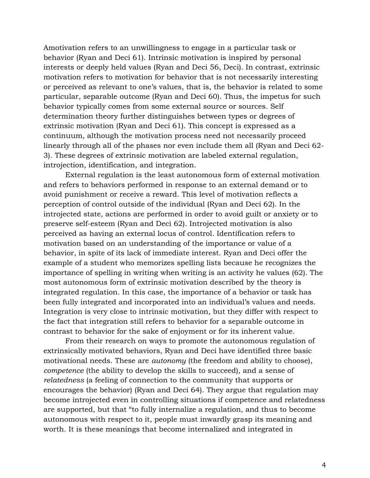Amotivation refers to an unwillingness to engage in a particular task or behavior (Ryan and Deci 61). Intrinsic motivation is inspired by personal interests or deeply held values (Ryan and Deci 56, Deci). In contrast, extrinsic motivation refers to motivation for behavior that is not necessarily interesting or perceived as relevant to one's values, that is, the behavior is related to some particular, separable outcome (Ryan and Deci 60). Thus, the impetus for such behavior typically comes from some external source or sources. Self determination theory further distinguishes between types or degrees of extrinsic motivation (Ryan and Deci 61). This concept is expressed as a continuum, although the motivation process need not necessarily proceed linearly through all of the phases nor even include them all (Ryan and Deci 62- 3). These degrees of extrinsic motivation are labeled external regulation, introjection, identification, and integration.

External regulation is the least autonomous form of external motivation and refers to behaviors performed in response to an external demand or to avoid punishment or receive a reward. This level of motivation reflects a perception of control outside of the individual (Ryan and Deci 62). In the introjected state, actions are performed in order to avoid guilt or anxiety or to preserve self-esteem (Ryan and Deci 62). Introjected motivation is also perceived as having an external locus of control. Identification refers to motivation based on an understanding of the importance or value of a behavior, in spite of its lack of immediate interest. Ryan and Deci offer the example of a student who memorizes spelling lists because he recognizes the importance of spelling in writing when writing is an activity he values (62). The most autonomous form of extrinsic motivation described by the theory is integrated regulation. In this case, the importance of a behavior or task has been fully integrated and incorporated into an individual's values and needs. Integration is very close to intrinsic motivation, but they differ with respect to the fact that integration still refers to behavior for a separable outcome in contrast to behavior for the sake of enjoyment or for its inherent value.

From their research on ways to promote the autonomous regulation of extrinsically motivated behaviors, Ryan and Deci have identified three basic motivational needs. These are autonomy (the freedom and ability to choose), competence (the ability to develop the skills to succeed), and a sense of relatedness (a feeling of connection to the community that supports or encourages the behavior) (Ryan and Deci 64). They argue that regulation may become introjected even in controlling situations if competence and relatedness are supported, but that "to fully internalize a regulation, and thus to become autonomous with respect to it, people must inwardly grasp its meaning and worth. It is these meanings that become internalized and integrated in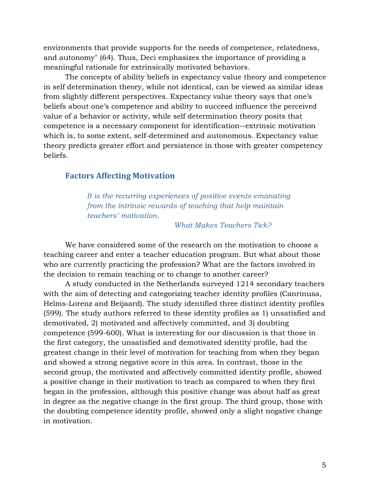environments that provide supports for the needs of competence, relatedness, and autonomy" (64). Thus, Deci emphasizes the importance of providing a meaningful rationale for extrinsically motivated behaviors.

The concepts of ability beliefs in expectancy value theory and competence in self determination theory, while not identical, can be viewed as similar ideas from slightly different perspectives. Expectancy value theory says that one's beliefs about one's competence and ability to succeed influence the perceived value of a behavior or activity, while self determination theory posits that competence is a necessary component for identification--extrinsic motivation which is, to some extent, self-determined and autonomous. Expectancy value theory predicts greater effort and persistence in those with greater competency beliefs.

## Factors Affecting Motivation

It is the recurring experiences of positive events emanating from the intrinsic rewards of teaching that help maintain teachers' motivation.

What Makes Teachers Tick?

We have considered some of the research on the motivation to choose a teaching career and enter a teacher education program. But what about those who are currently practicing the profession? What are the factors involved in the decision to remain teaching or to change to another career?

A study conducted in the Netherlands surveyed 1214 secondary teachers with the aim of detecting and categorizing teacher identity profiles (Canrinusa, Helms-Lorenz and Beijaard). The study identified three distinct identity profiles (599). The study authors referred to these identity profiles as 1) unsatisfied and demotivated, 2) motivated and affectively committed, and 3) doubting competence (599-600). What is interesting for our discussion is that those in the first category, the unsatisfied and demotivated identity profile, had the greatest change in their level of motivation for teaching from when they began and showed a strong negative score in this area. In contrast, those in the second group, the motivated and affectively committed identity profile, showed a positive change in their motivation to teach as compared to when they first began in the profession, although this positive change was about half as great in degree as the negative change in the first group. The third group, those with the doubting competence identity profile, showed only a slight negative change in motivation.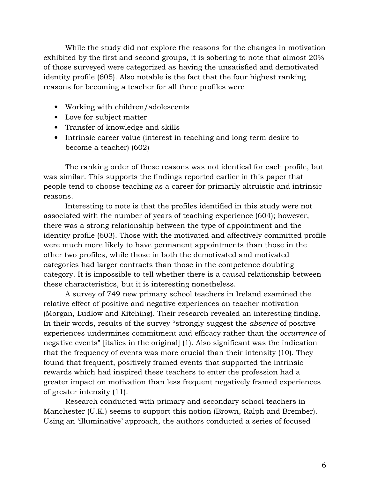While the study did not explore the reasons for the changes in motivation exhibited by the first and second groups, it is sobering to note that almost 20% of those surveyed were categorized as having the unsatisfied and demotivated identity profile (605). Also notable is the fact that the four highest ranking reasons for becoming a teacher for all three profiles were

- Working with children/adolescents
- Love for subject matter
- Transfer of knowledge and skills
- Intrinsic career value (interest in teaching and long-term desire to become a teacher) (602)

The ranking order of these reasons was not identical for each profile, but was similar. This supports the findings reported earlier in this paper that people tend to choose teaching as a career for primarily altruistic and intrinsic reasons.

Interesting to note is that the profiles identified in this study were not associated with the number of years of teaching experience (604); however, there was a strong relationship between the type of appointment and the identity profile (603). Those with the motivated and affectively committed profile were much more likely to have permanent appointments than those in the other two profiles, while those in both the demotivated and motivated categories had larger contracts than those in the competence doubting category. It is impossible to tell whether there is a causal relationship between these characteristics, but it is interesting nonetheless.

A survey of 749 new primary school teachers in Ireland examined the relative effect of positive and negative experiences on teacher motivation (Morgan, Ludlow and Kitching). Their research revealed an interesting finding. In their words, results of the survey "strongly suggest the absence of positive experiences undermines commitment and efficacy rather than the occurrence of negative events" [italics in the original] (1). Also significant was the indication that the frequency of events was more crucial than their intensity (10). They found that frequent, positively framed events that supported the intrinsic rewards which had inspired these teachers to enter the profession had a greater impact on motivation than less frequent negatively framed experiences of greater intensity (11).

Research conducted with primary and secondary school teachers in Manchester (U.K.) seems to support this notion (Brown, Ralph and Brember). Using an 'illuminative' approach, the authors conducted a series of focused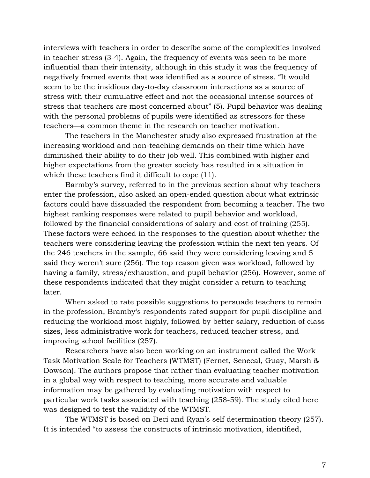interviews with teachers in order to describe some of the complexities involved in teacher stress (3-4). Again, the frequency of events was seen to be more influential than their intensity, although in this study it was the frequency of negatively framed events that was identified as a source of stress. "It would seem to be the insidious day-to-day classroom interactions as a source of stress with their cumulative effect and not the occasional intense sources of stress that teachers are most concerned about" (5). Pupil behavior was dealing with the personal problems of pupils were identified as stressors for these teachers—a common theme in the research on teacher motivation.

The teachers in the Manchester study also expressed frustration at the increasing workload and non-teaching demands on their time which have diminished their ability to do their job well. This combined with higher and higher expectations from the greater society has resulted in a situation in which these teachers find it difficult to cope (11).

Barmby's survey, referred to in the previous section about why teachers enter the profession, also asked an open-ended question about what extrinsic factors could have dissuaded the respondent from becoming a teacher. The two highest ranking responses were related to pupil behavior and workload, followed by the financial considerations of salary and cost of training (255). These factors were echoed in the responses to the question about whether the teachers were considering leaving the profession within the next ten years. Of the 246 teachers in the sample, 66 said they were considering leaving and 5 said they weren't sure (256). The top reason given was workload, followed by having a family, stress/exhaustion, and pupil behavior (256). However, some of these respondents indicated that they might consider a return to teaching later.

When asked to rate possible suggestions to persuade teachers to remain in the profession, Bramby's respondents rated support for pupil discipline and reducing the workload most highly, followed by better salary, reduction of class sizes, less administrative work for teachers, reduced teacher stress, and improving school facilities (257).

Researchers have also been working on an instrument called the Work Task Motivation Scale for Teachers (WTMST) (Fernet, Senecal, Guay, Marsh & Dowson). The authors propose that rather than evaluating teacher motivation in a global way with respect to teaching, more accurate and valuable information may be gathered by evaluating motivation with respect to particular work tasks associated with teaching (258-59). The study cited here was designed to test the validity of the WTMST.

The WTMST is based on Deci and Ryan's self determination theory (257). It is intended "to assess the constructs of intrinsic motivation, identified,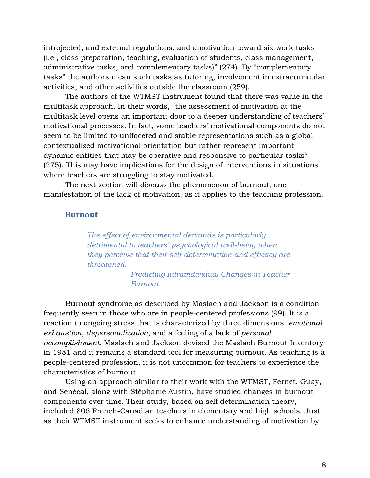introjected, and external regulations, and amotivation toward six work tasks (i.e., class preparation, teaching, evaluation of students, class management, administrative tasks, and complementary tasks)" (274). By "complementary tasks" the authors mean such tasks as tutoring, involvement in extracurricular activities, and other activities outside the classroom (259).

The authors of the WTMST instrument found that there was value in the multitask approach. In their words, "the assessment of motivation at the multitask level opens an important door to a deeper understanding of teachers' motivational processes. In fact, some teachers' motivational components do not seem to be limited to unifaceted and stable representations such as a global contextualized motivational orientation but rather represent important dynamic entities that may be operative and responsive to particular tasks" (275). This may have implications for the design of interventions in situations where teachers are struggling to stay motivated.

The next section will discuss the phenomenon of burnout, one manifestation of the lack of motivation, as it applies to the teaching profession.

#### **Burnout**

The effect of environmental demands is particularly detrimental to teachers' psychological well-being when they perceive that their self-determination and efficacy are threatened.

> Predicting Intraindividual Changes in Teacher Burnout

Burnout syndrome as described by Maslach and Jackson is a condition frequently seen in those who are in people-centered professions (99). It is a reaction to ongoing stress that is characterized by three dimensions: emotional exhaustion, depersonalization, and a feeling of a lack of personal accomplishment. Maslach and Jackson devised the Maslach Burnout Inventory in 1981 and it remains a standard tool for measuring burnout. As teaching is a people-centered profession, it is not uncommon for teachers to experience the characteristics of burnout.

Using an approach similar to their work with the WTMST, Fernet, Guay, and Senécal, along with Stéphanie Austin, have studied changes in burnout components over time. Their study, based on self determination theory, included 806 French-Canadian teachers in elementary and high schools. Just as their WTMST instrument seeks to enhance understanding of motivation by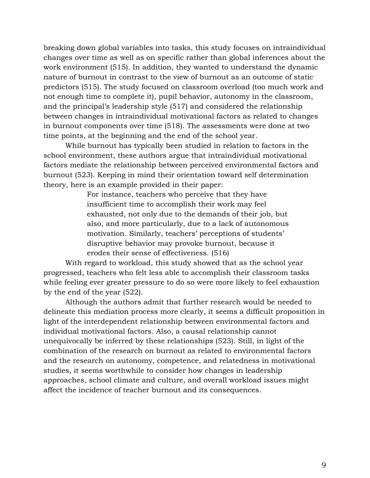breaking down global variables into tasks, this study focuses on intraindividual changes over time as well as on specific rather than global inferences about the work environment (515). In addition, they wanted to understand the dynamic nature of burnout in contrast to the view of burnout as an outcome of static predictors (515). The study focused on classroom overload (too much work and not enough time to complete it), pupil behavior, autonomy in the classroom, and the principal's leadership style (517) and considered the relationship between changes in intraindividual motivational factors as related to changes in burnout components over time (518). The assessments were done at two time points, at the beginning and the end of the school year.

While burnout has typically been studied in relation to factors in the school environment, these authors argue that intraindividual motivational factors mediate the relationship between perceived environmental factors and burnout (523). Keeping in mind their orientation toward self determination theory, here is an example provided in their paper:

> For instance, teachers who perceive that they have insufficient time to accomplish their work may feel exhausted, not only due to the demands of their job, but also, and more particularly, due to a lack of autonomous motivation. Similarly, teachers' perceptions of students' disruptive behavior may provoke burnout, because it erodes their sense of effectiveness. (516)

With regard to workload, this study showed that as the school year progressed, teachers who felt less able to accomplish their classroom tasks while feeling ever greater pressure to do so were more likely to feel exhaustion by the end of the year (522).

Although the authors admit that further research would be needed to delineate this mediation process more clearly, it seems a difficult proposition in light of the interdependent relationship between environmental factors and individual motivational factors. Also, a causal relationship cannot unequivocally be inferred by these relationships (523). Still, in light of the combination of the research on burnout as related to environmental factors and the research on autonomy, competence, and relatedness in motivational studies, it seems worthwhile to consider how changes in leadership approaches, school climate and culture, and overall workload issues might affect the incidence of teacher burnout and its consequences.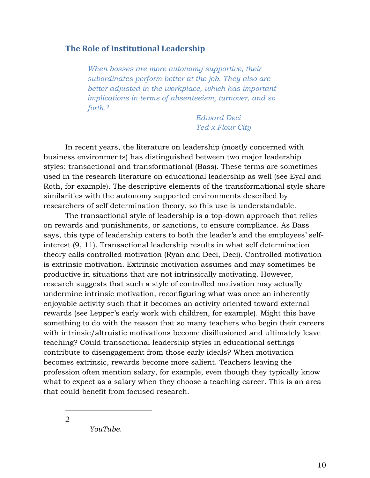## The Role of Institutional Leadership

When bosses are more autonomy supportive, their subordinates perform better at the job. They also are better adjusted in the workplace, which has important implications in terms of absenteeism, turnover, and so forth.<sup>2</sup>

> Edward Deci Ted-x Flour City

In recent years, the literature on leadership (mostly concerned with business environments) has distinguished between two major leadership styles: transactional and transformational (Bass). These terms are sometimes used in the research literature on educational leadership as well (see Eyal and Roth, for example). The descriptive elements of the transformational style share similarities with the autonomy supported environments described by researchers of self determination theory, so this use is understandable.

The transactional style of leadership is a top-down approach that relies on rewards and punishments, or sanctions, to ensure compliance. As Bass says, this type of leadership caters to both the leader's and the employees' selfinterest (9, 11). Transactional leadership results in what self determination theory calls controlled motivation (Ryan and Deci, Deci). Controlled motivation is extrinsic motivation. Extrinsic motivation assumes and may sometimes be productive in situations that are not intrinsically motivating. However, research suggests that such a style of controlled motivation may actually undermine intrinsic motivation, reconfiguring what was once an inherently enjoyable activity such that it becomes an activity oriented toward external rewards (see Lepper's early work with children, for example). Might this have something to do with the reason that so many teachers who begin their careers with intrinsic/altruistic motivations become disillusioned and ultimately leave teaching? Could transactional leadership styles in educational settings contribute to disengagement from those early ideals? When motivation becomes extrinsic, rewards become more salient. Teachers leaving the profession often mention salary, for example, even though they typically know what to expect as a salary when they choose a teaching career. This is an area that could benefit from focused research.

 $\overline{a}$ 2

YouTube.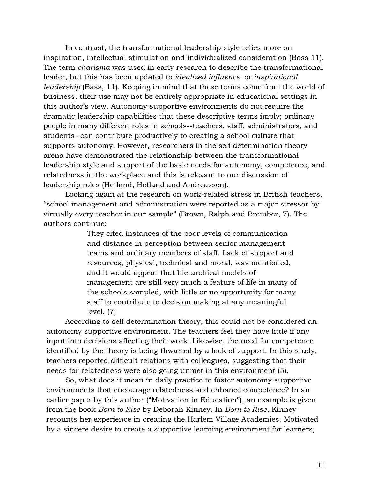In contrast, the transformational leadership style relies more on inspiration, intellectual stimulation and individualized consideration (Bass 11). The term charisma was used in early research to describe the transformational leader, but this has been updated to idealized influence or inspirational leadership (Bass, 11). Keeping in mind that these terms come from the world of business, their use may not be entirely appropriate in educational settings in this author's view. Autonomy supportive environments do not require the dramatic leadership capabilities that these descriptive terms imply; ordinary people in many different roles in schools--teachers, staff, administrators, and students--can contribute productively to creating a school culture that supports autonomy. However, researchers in the self determination theory arena have demonstrated the relationship between the transformational leadership style and support of the basic needs for autonomy, competence, and relatedness in the workplace and this is relevant to our discussion of leadership roles (Hetland, Hetland and Andreassen).

Looking again at the research on work-related stress in British teachers, "school management and administration were reported as a major stressor by virtually every teacher in our sample" (Brown, Ralph and Brember, 7). The authors continue:

> They cited instances of the poor levels of communication and distance in perception between senior management teams and ordinary members of staff. Lack of support and resources, physical, technical and moral, was mentioned, and it would appear that hierarchical models of management are still very much a feature of life in many of the schools sampled, with little or no opportunity for many staff to contribute to decision making at any meaningful level. (7)

According to self determination theory, this could not be considered an autonomy supportive environment. The teachers feel they have little if any input into decisions affecting their work. Likewise, the need for competence identified by the theory is being thwarted by a lack of support. In this study, teachers reported difficult relations with colleagues, suggesting that their needs for relatedness were also going unmet in this environment (5).

So, what does it mean in daily practice to foster autonomy supportive environments that encourage relatedness and enhance competence? In an earlier paper by this author ("Motivation in Education"), an example is given from the book Born to Rise by Deborah Kinney. In Born to Rise, Kinney recounts her experience in creating the Harlem Village Academies. Motivated by a sincere desire to create a supportive learning environment for learners,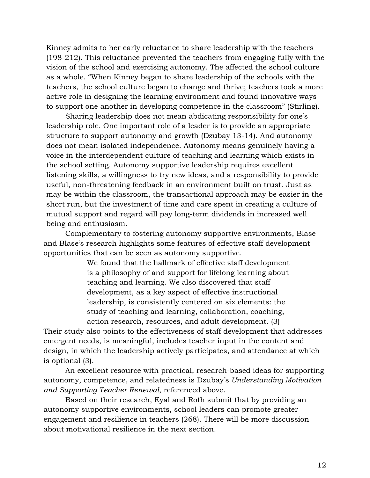Kinney admits to her early reluctance to share leadership with the teachers (198-212). This reluctance prevented the teachers from engaging fully with the vision of the school and exercising autonomy. The affected the school culture as a whole. "When Kinney began to share leadership of the schools with the teachers, the school culture began to change and thrive; teachers took a more active role in designing the learning environment and found innovative ways to support one another in developing competence in the classroom" (Stirling).

Sharing leadership does not mean abdicating responsibility for one's leadership role. One important role of a leader is to provide an appropriate structure to support autonomy and growth (Dzubay 13-14). And autonomy does not mean isolated independence. Autonomy means genuinely having a voice in the interdependent culture of teaching and learning which exists in the school setting. Autonomy supportive leadership requires excellent listening skills, a willingness to try new ideas, and a responsibility to provide useful, non-threatening feedback in an environment built on trust. Just as may be within the classroom, the transactional approach may be easier in the short run, but the investment of time and care spent in creating a culture of mutual support and regard will pay long-term dividends in increased well being and enthusiasm.

Complementary to fostering autonomy supportive environments, Blase and Blase's research highlights some features of effective staff development opportunities that can be seen as autonomy supportive.

> We found that the hallmark of effective staff development is a philosophy of and support for lifelong learning about teaching and learning. We also discovered that staff development, as a key aspect of effective instructional leadership, is consistently centered on six elements: the study of teaching and learning, collaboration, coaching, action research, resources, and adult development. (3)

Their study also points to the effectiveness of staff development that addresses emergent needs, is meaningful, includes teacher input in the content and design, in which the leadership actively participates, and attendance at which is optional (3).

An excellent resource with practical, research-based ideas for supporting autonomy, competence, and relatedness is Dzubay's Understanding Motivation and Supporting Teacher Renewal, referenced above.

Based on their research, Eyal and Roth submit that by providing an autonomy supportive environments, school leaders can promote greater engagement and resilience in teachers (268). There will be more discussion about motivational resilience in the next section.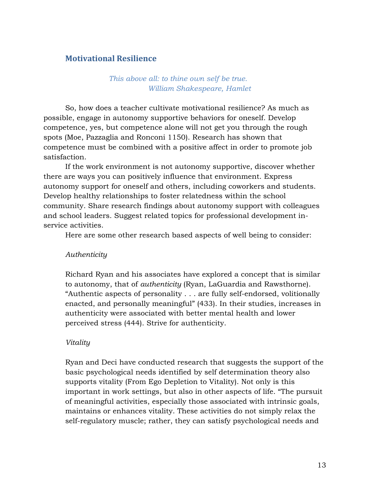# Motivational Resilience

## This above all: to thine own self be true. William Shakespeare, Hamlet

So, how does a teacher cultivate motivational resilience? As much as possible, engage in autonomy supportive behaviors for oneself. Develop competence, yes, but competence alone will not get you through the rough spots (Moe, Pazzaglia and Ronconi 1150). Research has shown that competence must be combined with a positive affect in order to promote job satisfaction.

If the work environment is not autonomy supportive, discover whether there are ways you can positively influence that environment. Express autonomy support for oneself and others, including coworkers and students. Develop healthy relationships to foster relatedness within the school community. Share research findings about autonomy support with colleagues and school leaders. Suggest related topics for professional development inservice activities.

Here are some other research based aspects of well being to consider:

#### Authenticity

Richard Ryan and his associates have explored a concept that is similar to autonomy, that of authenticity (Ryan, LaGuardia and Rawsthorne). "Authentic aspects of personality . . . are fully self-endorsed, volitionally enacted, and personally meaningful" (433). In their studies, increases in authenticity were associated with better mental health and lower perceived stress (444). Strive for authenticity.

#### Vitality

Ryan and Deci have conducted research that suggests the support of the basic psychological needs identified by self determination theory also supports vitality (From Ego Depletion to Vitality). Not only is this important in work settings, but also in other aspects of life. "The pursuit of meaningful activities, especially those associated with intrinsic goals, maintains or enhances vitality. These activities do not simply relax the self-regulatory muscle; rather, they can satisfy psychological needs and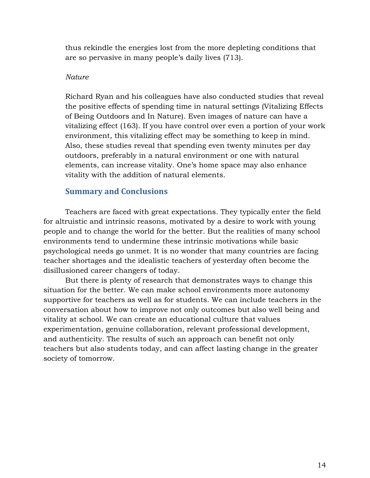thus rekindle the energies lost from the more depleting conditions that are so pervasive in many people's daily lives (713).

### Nature

Richard Ryan and his colleagues have also conducted studies that reveal the positive effects of spending time in natural settings (Vitalizing Effects of Being Outdoors and In Nature). Even images of nature can have a vitalizing effect (163). If you have control over even a portion of your work environment, this vitalizing effect may be something to keep in mind. Also, these studies reveal that spending even twenty minutes per day outdoors, preferably in a natural environment or one with natural elements, can increase vitality. One's home space may also enhance vitality with the addition of natural elements.

# Summary and Conclusions

Teachers are faced with great expectations. They typically enter the field for altruistic and intrinsic reasons, motivated by a desire to work with young people and to change the world for the better. But the realities of many school environments tend to undermine these intrinsic motivations while basic psychological needs go unmet. It is no wonder that many countries are facing teacher shortages and the idealistic teachers of yesterday often become the disillusioned career changers of today.

But there is plenty of research that demonstrates ways to change this situation for the better. We can make school environments more autonomy supportive for teachers as well as for students. We can include teachers in the conversation about how to improve not only outcomes but also well being and vitality at school. We can create an educational culture that values experimentation, genuine collaboration, relevant professional development, and authenticity. The results of such an approach can benefit not only teachers but also students today, and can affect lasting change in the greater society of tomorrow.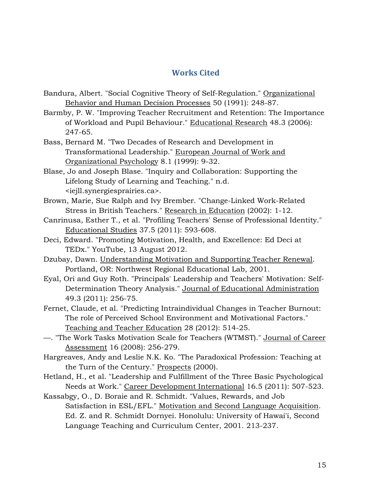# Works Cited

- Bandura, Albert. "Social Cognitive Theory of Self-Regulation." Organizational Behavior and Human Decision Processes 50 (1991): 248-87.
- Barmby, P. W. "Improving Teacher Recruitment and Retention: The Importance of Workload and Pupil Behaviour." Educational Research 48.3 (2006): 247-65.
- Bass, Bernard M. "Two Decades of Research and Development in Transformational Leadership." European Journal of Work and Organizational Psychology 8.1 (1999): 9-32.
- Blase, Jo and Joseph Blase. "Inquiry and Collaboration: Supporting the Lifelong Study of Learning and Teaching." n.d. <iejll.synergiesprairies.ca>.
- Brown, Marie, Sue Ralph and Ivy Brember. "Change-Linked Work-Related Stress in British Teachers." Research in Education (2002): 1-12.
- Canrinusa, Esther T., et al. "Profiling Teachers' Sense of Professional Identity." Educational Studies 37.5 (2011): 593-608.
- Deci, Edward. "Promoting Motivation, Health, and Excellence: Ed Deci at TEDx." YouTube, 13 August 2012.
- Dzubay, Dawn. Understanding Motivation and Supporting Teacher Renewal. Portland, OR: Northwest Regional Educational Lab, 2001.
- Eyal, Ori and Guy Roth. "Principals' Leadership and Teachers' Motivation: Self-Determination Theory Analysis." Journal of Educational Administration 49.3 (2011): 256-75.
- Fernet, Claude, et al. "Predicting Intraindividual Changes in Teacher Burnout: The role of Perceived School Environment and Motivational Factors." Teaching and Teacher Education 28 (2012): 514-25.
- —. "The Work Tasks Motivation Scale for Teachers (WTMST)." Journal of Career Assessment 16 (2008): 256-279.
- Hargreaves, Andy and Leslie N.K. Ko. "The Paradoxical Profession: Teaching at the Turn of the Century." Prospects (2000).
- Hetland, H., et al. "Leadership and Fulfillment of the Three Basic Psychological Needs at Work." Career Development International 16.5 (2011): 507-523.
- Kassabgy, O., D. Boraie and R. Schmidt. "Values, Rewards, and Job Satisfaction in ESL/EFL." Motivation and Second Language Acquisition. Ed. Z. and R. Schmidt Dornyei. Honolulu: University of Hawai'i, Second Language Teaching and Curriculum Center, 2001. 213-237.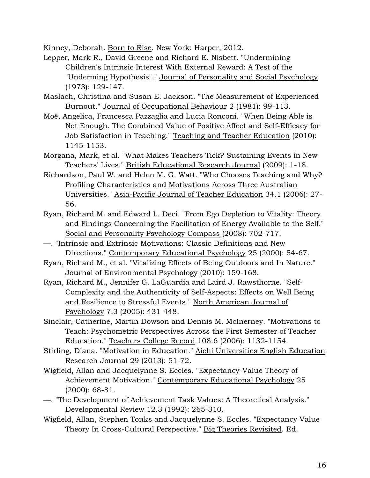Kinney, Deborah. Born to Rise. New York: Harper, 2012.

- Lepper, Mark R., David Greene and Richard E. Nisbett. "Undermining Children's Intrinsic Interest With External Reward: A Test of the "Underming Hypothesis"." Journal of Personality and Social Psychology (1973): 129-147.
- Maslach, Christina and Susan E. Jackson. "The Measurement of Experienced Burnout." Journal of Occupational Behaviour 2 (1981): 99-113.
- Moë, Angelica, Francesca Pazzaglia and Lucia Ronconi. "When Being Able is Not Enough. The Combined Value of Positive Affect and Self-Efficacy for Job Satisfaction in Teaching." Teaching and Teacher Education (2010): 1145-1153.
- Morgana, Mark, et al. "What Makes Teachers Tick? Sustaining Events in New Teachers' Lives." British Educational Research Journal (2009): 1-18.
- Richardson, Paul W. and Helen M. G. Watt. "Who Chooses Teaching and Why? Profiling Characteristics and Motivations Across Three Australian Universities." Asia-Pacific Journal of Teacher Education 34.1 (2006): 27- 56.
- Ryan, Richard M. and Edward L. Deci. "From Ego Depletion to Vitality: Theory and Findings Concerning the Facilitation of Energy Available to the Self." Social and Personality Psychology Compass (2008): 702-717.
- —. "Intrinsic and Extrinsic Motivations: Classic Definitions and New Directions." Contemporary Educational Psychology 25 (2000): 54-67.
- Ryan, Richard M., et al. "Vitalizing Effects of Being Outdoors and In Nature." Journal of Environmental Psychology (2010): 159-168.
- Ryan, Richard M., Jennifer G. LaGuardia and Laird J. Rawsthorne. "Self-Complexity and the Authenticity of Self-Aspects: Effects on Well Being and Resilience to Stressful Events." North American Journal of Psychology 7.3 (2005): 431-448.
- Sinclair, Catherine, Martin Dowson and Dennis M. McInerney. "Motivations to Teach: Psychometric Perspectives Across the First Semester of Teacher Education." Teachers College Record 108.6 (2006): 1132-1154.
- Stirling, Diana. "Motivation in Education." Aichi Universities English Education Research Journal 29 (2013): 51-72.
- Wigfield, Allan and Jacquelynne S. Eccles. "Expectancy-Value Theory of Achievement Motivation." Contemporary Educational Psychology 25 (2000): 68-81.
- —. "The Development of Achievement Task Values: A Theoretical Analysis." Developmental Review 12.3 (1992): 265-310.
- Wigfield, Allan, Stephen Tonks and Jacquelynne S. Eccles. "Expectancy Value Theory In Cross-Cultural Perspective." Big Theories Revisited. Ed.